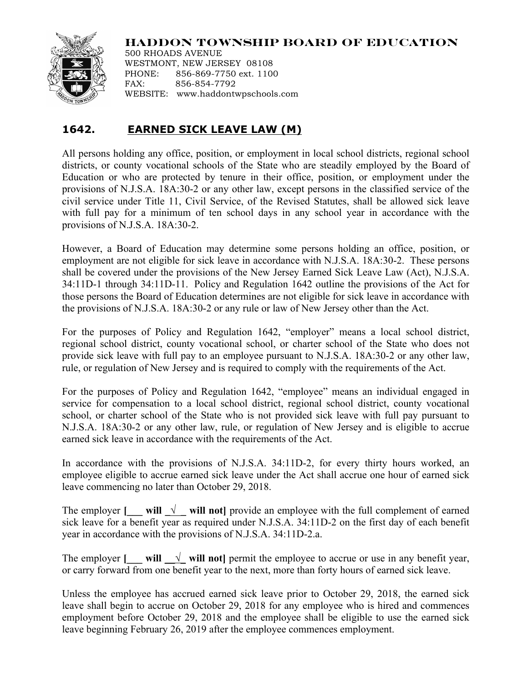## **HADDON TOWNSHIP BOARD OF EDUCATION**



500 RHOADS AVENUE WESTMONT, NEW JERSEY 08108 PHONE: 856-869-7750 ext. 1100 FAX: 856-854-7792 WEBSITE: www.haddontwpschools.com

## **1642. EARNED SICK LEAVE LAW (M)**

All persons holding any office, position, or employment in local school districts, regional school districts, or county vocational schools of the State who are steadily employed by the Board of Education or who are protected by tenure in their office, position, or employment under the provisions of N.J.S.A. 18A:30-2 or any other law, except persons in the classified service of the civil service under Title 11, Civil Service, of the Revised Statutes, shall be allowed sick leave with full pay for a minimum of ten school days in any school year in accordance with the provisions of N.J.S.A. 18A:30-2.

However, a Board of Education may determine some persons holding an office, position, or employment are not eligible for sick leave in accordance with N.J.S.A. 18A:30-2. These persons shall be covered under the provisions of the New Jersey Earned Sick Leave Law (Act), N.J.S.A. 34:11D-1 through 34:11D-11. Policy and Regulation 1642 outline the provisions of the Act for those persons the Board of Education determines are not eligible for sick leave in accordance with the provisions of N.J.S.A. 18A:30-2 or any rule or law of New Jersey other than the Act.

For the purposes of Policy and Regulation 1642, "employer" means a local school district, regional school district, county vocational school, or charter school of the State who does not provide sick leave with full pay to an employee pursuant to N.J.S.A. 18A:30-2 or any other law, rule, or regulation of New Jersey and is required to comply with the requirements of the Act.

For the purposes of Policy and Regulation 1642, "employee" means an individual engaged in service for compensation to a local school district, regional school district, county vocational school, or charter school of the State who is not provided sick leave with full pay pursuant to N.J.S.A. 18A:30-2 or any other law, rule, or regulation of New Jersey and is eligible to accrue earned sick leave in accordance with the requirements of the Act.

In accordance with the provisions of N.J.S.A. 34:11D-2, for every thirty hours worked, an employee eligible to accrue earned sick leave under the Act shall accrue one hour of earned sick leave commencing no later than October 29, 2018.

The employer **[\_\_\_ will \_\\_\_\_ will not]** provide an employee with the full complement of earned sick leave for a benefit year as required under N.J.S.A. 34:11D-2 on the first day of each benefit year in accordance with the provisions of N.J.S.A. 34:11D-2.a.

The employer  $[\_\_\_$  will  $\_\_$  will not] permit the employee to accrue or use in any benefit year, or carry forward from one benefit year to the next, more than forty hours of earned sick leave.

Unless the employee has accrued earned sick leave prior to October 29, 2018, the earned sick leave shall begin to accrue on October 29, 2018 for any employee who is hired and commences employment before October 29, 2018 and the employee shall be eligible to use the earned sick leave beginning February 26, 2019 after the employee commences employment.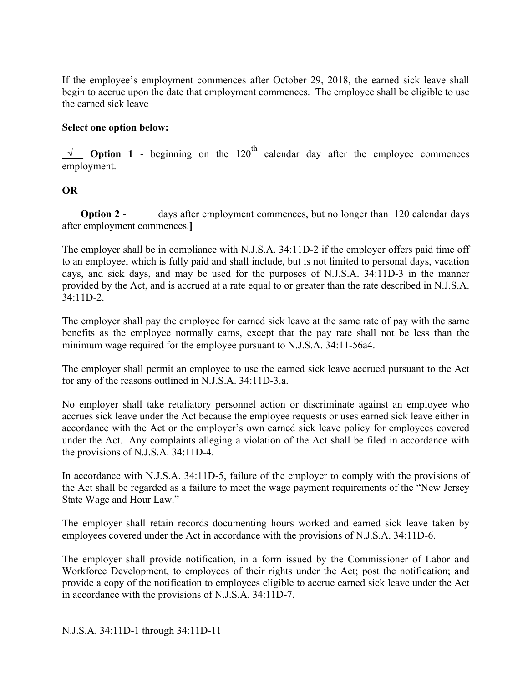If the employee's employment commences after October 29, 2018, the earned sick leave shall begin to accrue upon the date that employment commences. The employee shall be eligible to use the earned sick leave

## **Select one option below:**

 $\sqrt{\phantom{a}}$  **Option 1** - beginning on the 120<sup>th</sup> calendar day after the employee commences employment.

## **OR**

**Option 2** - \_\_\_\_\_ days after employment commences, but no longer than 120 calendar days after employment commences.**]**

The employer shall be in compliance with N.J.S.A. 34:11D-2 if the employer offers paid time off to an employee, which is fully paid and shall include, but is not limited to personal days, vacation days, and sick days, and may be used for the purposes of N.J.S.A. 34:11D-3 in the manner provided by the Act, and is accrued at a rate equal to or greater than the rate described in N.J.S.A. 34:11D-2.

The employer shall pay the employee for earned sick leave at the same rate of pay with the same benefits as the employee normally earns, except that the pay rate shall not be less than the minimum wage required for the employee pursuant to N.J.S.A. 34:11-56a4.

The employer shall permit an employee to use the earned sick leave accrued pursuant to the Act for any of the reasons outlined in N.J.S.A. 34:11D-3.a.

No employer shall take retaliatory personnel action or discriminate against an employee who accrues sick leave under the Act because the employee requests or uses earned sick leave either in accordance with the Act or the employer's own earned sick leave policy for employees covered under the Act. Any complaints alleging a violation of the Act shall be filed in accordance with the provisions of N.J.S.A. 34:11D-4.

In accordance with N.J.S.A. 34:11D-5, failure of the employer to comply with the provisions of the Act shall be regarded as a failure to meet the wage payment requirements of the "New Jersey State Wage and Hour Law."

The employer shall retain records documenting hours worked and earned sick leave taken by employees covered under the Act in accordance with the provisions of N.J.S.A. 34:11D-6.

The employer shall provide notification, in a form issued by the Commissioner of Labor and Workforce Development, to employees of their rights under the Act; post the notification; and provide a copy of the notification to employees eligible to accrue earned sick leave under the Act in accordance with the provisions of N.J.S.A. 34:11D-7.

N.J.S.A. 34:11D-1 through 34:11D-11